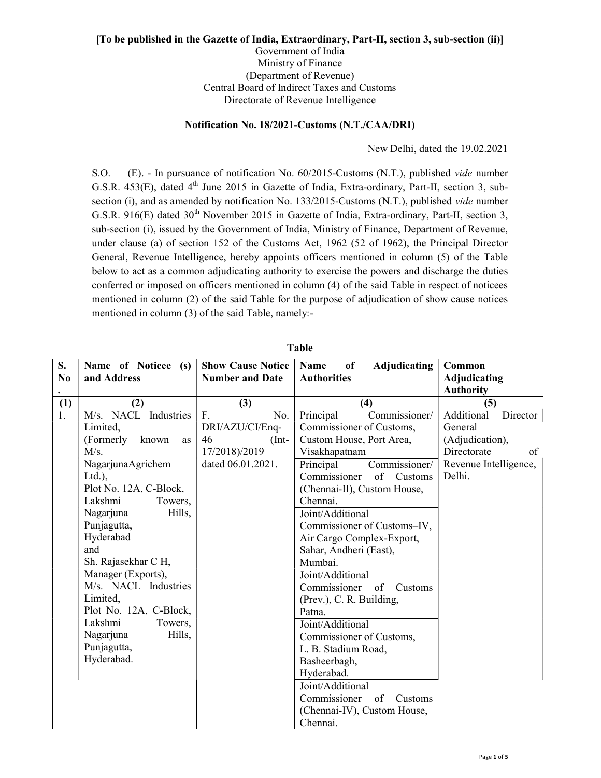## [To be published in the Gazette of India, Extraordinary, Part-II, section 3, sub-section (ii)]

Government of India Ministry of Finance (Department of Revenue) Central Board of Indirect Taxes and Customs Directorate of Revenue Intelligence

## Notification No. 18/2021-Customs (N.T./CAA/DRI)

New Delhi, dated the 19.02.2021

S.O. (E). - In pursuance of notification No. 60/2015-Customs (N.T.), published vide number G.S.R. 453(E), dated 4<sup>th</sup> June 2015 in Gazette of India, Extra-ordinary, Part-II, section 3, subsection (i), and as amended by notification No. 133/2015-Customs (N.T.), published vide number G.S.R. 916(E) dated 30<sup>th</sup> November 2015 in Gazette of India, Extra-ordinary, Part-II, section 3, sub-section (i), issued by the Government of India, Ministry of Finance, Department of Revenue, under clause (a) of section 152 of the Customs Act, 1962 (52 of 1962), the Principal Director General, Revenue Intelligence, hereby appoints officers mentioned in column (5) of the Table below to act as a common adjudicating authority to exercise the powers and discharge the duties conferred or imposed on officers mentioned in column (4) of the said Table in respect of noticees mentioned in column (2) of the said Table for the purpose of adjudication of show cause notices mentioned in column (3) of the said Table, namely:-

| S.               | Name of Noticee (s)      | <b>Show Cause Notice</b> | of<br><b>Adjudicating</b><br>Name | Common                               |
|------------------|--------------------------|--------------------------|-----------------------------------|--------------------------------------|
| N <sub>0</sub>   | and Address              | <b>Number and Date</b>   | <b>Authorities</b>                | Adjudicating                         |
|                  |                          |                          |                                   | <b>Authority</b>                     |
|                  |                          |                          |                                   |                                      |
| (1)              | (2)                      | (3)                      | (4)                               | (5)                                  |
| $\overline{1}$ . | M/s. NACL<br>Industries  | F.<br>No.                | Commissioner/<br>Principal        | Additional<br>$\overline{D}$ irector |
|                  | Limited,                 | DRI/AZU/CI/Enq-          | Commissioner of Customs,          | General                              |
|                  | (Formerly<br>known<br>as | 46<br>$(Int-$            | Custom House, Port Area,          | (Adjudication),                      |
|                  | M/s.                     | 17/2018)/2019            | Visakhapatnam                     | Directorate<br>of                    |
|                  | NagarjunaAgrichem        | dated 06.01.2021.        | Principal<br>Commissioner/        | Revenue Intelligence,                |
|                  | $Ltd.$ ),                |                          | of<br>Commissioner<br>Customs     | Delhi.                               |
|                  | Plot No. 12A, C-Block,   |                          | (Chennai-II), Custom House,       |                                      |
|                  | Lakshmi<br>Towers,       |                          | Chennai.                          |                                      |
|                  | Nagarjuna<br>Hills,      |                          | Joint/Additional                  |                                      |
|                  | Punjagutta,              |                          | Commissioner of Customs-IV,       |                                      |
|                  | Hyderabad                |                          | Air Cargo Complex-Export,         |                                      |
|                  | and                      |                          | Sahar, Andheri (East),            |                                      |
|                  | Sh. Rajasekhar C H,      |                          | Mumbai.                           |                                      |
|                  | Manager (Exports),       |                          | Joint/Additional                  |                                      |
|                  | M/s. NACL Industries     |                          | Commissioner of<br>Customs        |                                      |
|                  | Limited,                 |                          | (Prev.), C. R. Building,          |                                      |
|                  | Plot No. 12A, C-Block,   |                          | Patna.                            |                                      |
|                  | Lakshmi<br>Towers,       |                          | Joint/Additional                  |                                      |
|                  | Nagarjuna<br>Hills,      |                          | Commissioner of Customs,          |                                      |
|                  | Punjagutta,              |                          | L. B. Stadium Road,               |                                      |
|                  | Hyderabad.               |                          | Basheerbagh,                      |                                      |
|                  |                          |                          | Hyderabad.                        |                                      |
|                  |                          |                          | Joint/Additional                  |                                      |
|                  |                          |                          | Commissioner of<br>Customs        |                                      |
|                  |                          |                          | (Chennai-IV), Custom House,       |                                      |
|                  |                          |                          | Chennai.                          |                                      |

Table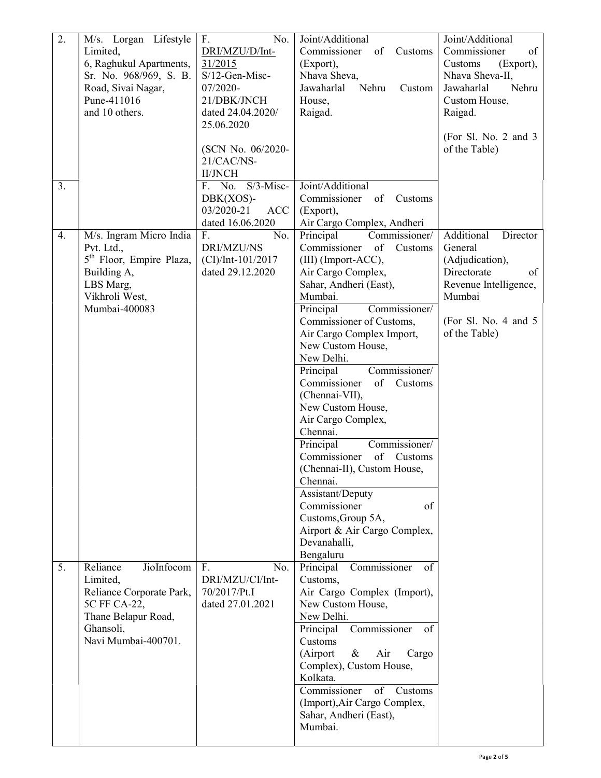| $\overline{2}$ . | M/s. Lorgan Lifestyle<br>Limited,<br>6, Raghukul Apartments,<br>Sr. No. 968/969, S. B.<br>Road, Sivai Nagar,<br>Pune-411016<br>and 10 others. | No.<br>F.<br>DRI/MZU/D/Int-<br>31/2015<br>S/12-Gen-Misc-<br>07/2020-<br>21/DBK/JNCH<br>dated 24.04.2020/<br>25.06.2020<br>(SCN No. 06/2020-<br>21/CAC/NS- | Joint/Additional<br>Commissioner<br>of<br>Customs<br>(Export),<br>Nhava Sheva,<br>Jawaharlal<br>Nehru<br>Custom<br>House,<br>Raigad.                                                                                                                                                                                                                                                                                                                                                                                                                                                                                                                   | Joint/Additional<br>Commissioner<br>of<br>Customs<br>(Export),<br>Nhava Sheva-II,<br>Nehru<br>Jawaharlal<br>Custom House,<br>Raigad.<br>(For Sl. No. 2 and $3$<br>of the Table) |
|------------------|-----------------------------------------------------------------------------------------------------------------------------------------------|-----------------------------------------------------------------------------------------------------------------------------------------------------------|--------------------------------------------------------------------------------------------------------------------------------------------------------------------------------------------------------------------------------------------------------------------------------------------------------------------------------------------------------------------------------------------------------------------------------------------------------------------------------------------------------------------------------------------------------------------------------------------------------------------------------------------------------|---------------------------------------------------------------------------------------------------------------------------------------------------------------------------------|
| 3.               |                                                                                                                                               | <b>II/JNCH</b><br>$S/3$ -Misc-<br>F. No.<br>$DBK(XOS)$ -<br>03/2020-21<br><b>ACC</b><br>dated 16.06.2020                                                  | Joint/Additional<br>Commissioner<br>of<br>Customs<br>(Export),<br>Air Cargo Complex, Andheri                                                                                                                                                                                                                                                                                                                                                                                                                                                                                                                                                           |                                                                                                                                                                                 |
| 4.               | M/s. Ingram Micro India<br>Pvt. Ltd.,<br>5 <sup>th</sup> Floor, Empire Plaza,<br>Building A,<br>LBS Marg,<br>Vikhroli West,<br>Mumbai-400083  | F.<br>No.<br>DRI/MZU/NS<br>$(CI)/Int-101/2017$<br>dated 29.12.2020                                                                                        | Commissioner/<br>Principal<br>Commissioner<br>of<br>Customs<br>(III) (Import-ACC),<br>Air Cargo Complex,<br>Sahar, Andheri (East),<br>Mumbai.<br>Principal<br>Commissioner/<br>Commissioner of Customs,<br>Air Cargo Complex Import,<br>New Custom House,<br>New Delhi.<br>Principal<br>Commissioner/<br>Commissioner<br>of<br>Customs<br>(Chennai-VII),<br>New Custom House,<br>Air Cargo Complex,<br>Chennai.<br>Commissioner/<br>Principal<br>Commissioner<br>of<br>Customs<br>(Chennai-II), Custom House,<br>Chennai.<br>Assistant/Deputy<br>Commissioner<br>of<br>Customs, Group 5A,<br>Airport & Air Cargo Complex,<br>Devanahalli,<br>Bengaluru | Additional<br>Director<br>General<br>(Adjudication),<br>Directorate<br>of<br>Revenue Intelligence,<br>Mumbai<br>(For Sl. No. 4 and $5$<br>of the Table)                         |
| 5.               | Reliance<br>JioInfocom<br>Limited,<br>Reliance Corporate Park,<br>5C FF CA-22,<br>Thane Belapur Road,<br>Ghansoli,<br>Navi Mumbai-400701.     | F.<br>No.<br>DRI/MZU/CI/Int-<br>70/2017/Pt.I<br>dated 27.01.2021                                                                                          | Commissioner<br>Principal<br>of<br>Customs,<br>Air Cargo Complex (Import),<br>New Custom House,<br>New Delhi.<br>Principal<br>Commissioner<br>of<br>Customs<br>(Airport<br>Air<br>$\&$<br>Cargo<br>Complex), Custom House,<br>Kolkata.<br>Commissioner<br>of<br>Customs<br>(Import), Air Cargo Complex,<br>Sahar, Andheri (East),<br>Mumbai.                                                                                                                                                                                                                                                                                                           |                                                                                                                                                                                 |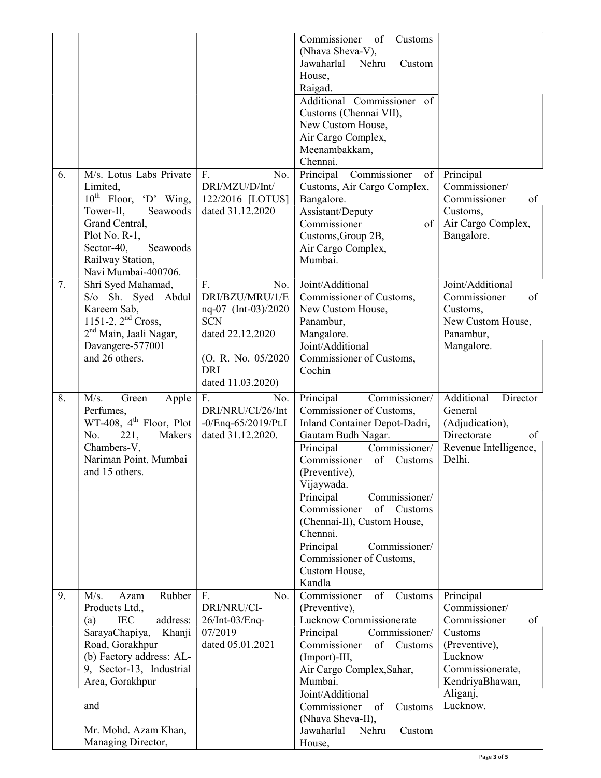|    |                                                                                                                                                                                                    |                                                                                                                                                 | Commissioner<br>of<br>Customs<br>(Nhava Sheva-V),<br>Jawaharlal<br>Nehru<br>Custom<br>House,<br>Raigad.<br>Additional Commissioner of<br>Customs (Chennai VII),<br>New Custom House,<br>Air Cargo Complex,<br>Meenambakkam,<br>Chennai.                                                                                                                                                                    |                                                                                                              |
|----|----------------------------------------------------------------------------------------------------------------------------------------------------------------------------------------------------|-------------------------------------------------------------------------------------------------------------------------------------------------|------------------------------------------------------------------------------------------------------------------------------------------------------------------------------------------------------------------------------------------------------------------------------------------------------------------------------------------------------------------------------------------------------------|--------------------------------------------------------------------------------------------------------------|
| 6. | M/s. Lotus Labs Private<br>Limited,<br>$10^{th}$ Floor, 'D' Wing,<br>Tower-II,<br>Seawoods<br>Grand Central,<br>Plot No. R-1,<br>Sector-40,<br>Seawoods<br>Railway Station,<br>Navi Mumbai-400706. | F.<br>No.<br>DRI/MZU/D/Int/<br>122/2016 [LOTUS]<br>dated 31.12.2020                                                                             | Principal<br>Commissioner<br>of<br>Customs, Air Cargo Complex,<br>Bangalore.<br>Assistant/Deputy<br>Commissioner<br>of<br>Customs, Group 2B,<br>Air Cargo Complex,<br>Mumbai.                                                                                                                                                                                                                              | Principal<br>Commissioner/<br>Commissioner<br>of<br>Customs,<br>Air Cargo Complex,<br>Bangalore.             |
| 7. | Shri Syed Mahamad,<br>S/o Sh. Syed Abdul<br>Kareem Sab,<br>1151-2, $2^{nd}$ Cross,<br>2 <sup>nd</sup> Main, Jaali Nagar,<br>Davangere-577001<br>and 26 others.                                     | F.<br>No.<br>DRI/BZU/MRU/1/E<br>nq-07 (Int-03)/2020<br><b>SCN</b><br>dated 22.12.2020<br>(O. R. No. 05/2020)<br><b>DRI</b><br>dated 11.03.2020) | Joint/Additional<br>Commissioner of Customs,<br>New Custom House,<br>Panambur,<br>Mangalore.<br>Joint/Additional<br>Commissioner of Customs,<br>Cochin                                                                                                                                                                                                                                                     | Joint/Additional<br>Commissioner<br>of<br>Customs,<br>New Custom House,<br>Panambur,<br>Mangalore.           |
| 8. | M/s.<br>Green<br>Apple<br>Perfumes,<br>WT-408, $4th$ Floor, Plot<br>221,<br>No.<br>Makers<br>Chambers-V,<br>Nariman Point, Mumbai<br>and 15 others.                                                | F.<br>No.<br>DRI/NRU/CI/26/Int<br>$-0$ /Enq $-65/2019$ /Pt.I<br>dated 31.12.2020.                                                               | Principal<br>Commissioner/<br>Commissioner of Customs,<br>Inland Container Depot-Dadri,<br>Gautam Budh Nagar.<br>Commissioner/<br>Principal<br>Commissioner<br>of<br>Customs<br>(Preventive),<br>Vijaywada.<br>Principal<br>Commissioner/<br>Commissioner<br>of<br>Customs<br>(Chennai-II), Custom House,<br>Chennai.<br>Commissioner/<br>Principal<br>Commissioner of Customs,<br>Custom House,<br>Kandla | Additional<br>Director<br>General<br>(Adjudication),<br>Directorate<br>of<br>Revenue Intelligence,<br>Delhi. |
| 9. | Rubber<br>M/s.<br>Azam<br>Products Ltd.,<br>address:<br><b>IEC</b><br>(a)<br>SarayaChapiya,<br>Khanji<br>Road, Gorakhpur<br>(b) Factory address: AL-                                               | F.<br>No.<br>DRI/NRU/CI-<br>26/Int-03/Enq-<br>07/2019<br>dated 05.01.2021                                                                       | Commissioner<br>of<br>Customs<br>(Preventive),<br>Lucknow Commissionerate<br>Commissioner/<br>Principal<br>Commissioner<br>of<br>Customs<br>(Import)-III,                                                                                                                                                                                                                                                  | Principal<br>Commissioner/<br>Commissioner<br>of<br>Customs<br>(Preventive),<br>Lucknow                      |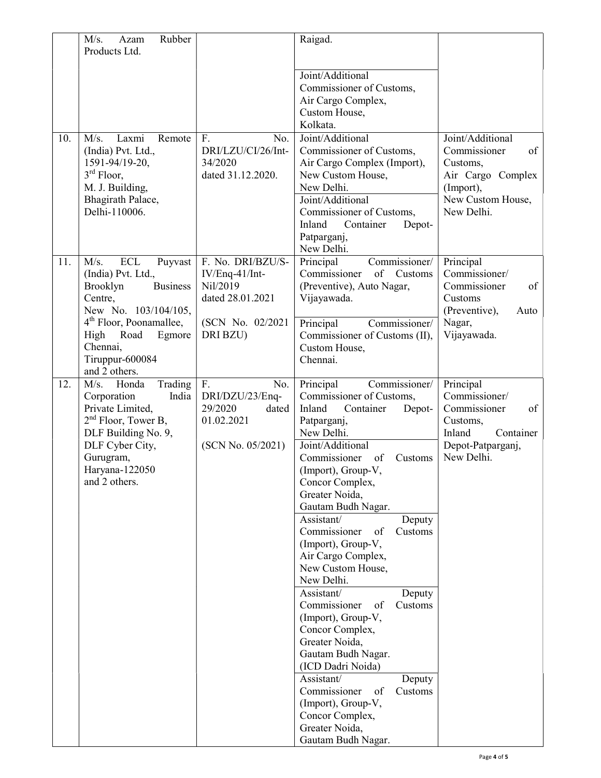|     | Rubber<br>M/s.<br>Azam<br>Products Ltd.                                                                                                                                                                                                |                                                                                                      | Raigad.                                                                                                                                                                                                                                                                                                                                                                                                                                                                                                                                                                                                                                                                                                    |                                                                                                                         |
|-----|----------------------------------------------------------------------------------------------------------------------------------------------------------------------------------------------------------------------------------------|------------------------------------------------------------------------------------------------------|------------------------------------------------------------------------------------------------------------------------------------------------------------------------------------------------------------------------------------------------------------------------------------------------------------------------------------------------------------------------------------------------------------------------------------------------------------------------------------------------------------------------------------------------------------------------------------------------------------------------------------------------------------------------------------------------------------|-------------------------------------------------------------------------------------------------------------------------|
|     |                                                                                                                                                                                                                                        |                                                                                                      | Joint/Additional<br>Commissioner of Customs,<br>Air Cargo Complex,<br>Custom House,<br>Kolkata.                                                                                                                                                                                                                                                                                                                                                                                                                                                                                                                                                                                                            |                                                                                                                         |
| 10. | Laxmi<br>M/s.<br>Remote<br>(India) Pvt. Ltd.,<br>1591-94/19-20,<br>$3rd$ Floor,<br>M. J. Building,<br>Bhagirath Palace,<br>Delhi-110006.                                                                                               | F.<br>No.<br>DRI/LZU/CI/26/Int-<br>34/2020<br>dated 31.12.2020.                                      | Joint/Additional<br>Commissioner of Customs,<br>Air Cargo Complex (Import),<br>New Custom House,<br>New Delhi.<br>Joint/Additional<br>Commissioner of Customs,<br>Inland<br>Container<br>Depot-<br>Patparganj,<br>New Delhi.                                                                                                                                                                                                                                                                                                                                                                                                                                                                               | Joint/Additional<br>Commissioner<br>of<br>Customs,<br>Air Cargo Complex<br>(Import),<br>New Custom House,<br>New Delhi. |
| 11. | M/s.<br><b>ECL</b><br>Puyvast<br>(India) Pvt. Ltd.,<br>Brooklyn<br><b>Business</b><br>Centre,<br>New No. 103/104/105,<br>4 <sup>th</sup> Floor, Poonamallee,<br>High<br>Road<br>Egmore<br>Chennai,<br>Tiruppur-600084<br>and 2 others. | F. No. DRI/BZU/S-<br>IV/Enq-41/Int-<br>Nil/2019<br>dated 28.01.2021<br>(SCN No. 02/2021)<br>DRI BZU) | Commissioner/<br>Principal<br>of<br>Commissioner<br>Customs<br>(Preventive), Auto Nagar,<br>Vijayawada.<br>Principal<br>Commissioner/<br>Commissioner of Customs (II),<br>Custom House,<br>Chennai.                                                                                                                                                                                                                                                                                                                                                                                                                                                                                                        | Principal<br>Commissioner/<br>Commissioner<br>of<br>Customs<br>(Preventive),<br>Auto<br>Nagar,<br>Vijayawada.           |
| 12. | M/s.<br>Trading<br>Honda<br>Corporation<br>India<br>Private Limited,<br>$2nd$ Floor, Tower B,<br>DLF Building No. 9,<br>DLF Cyber City,<br>Gurugram,<br>Haryana-122050<br>and 2 others.                                                | F.<br>No.<br>DRI/DZU/23/Enq-<br>29/2020<br>dated<br>01.02.2021<br>(SCN No. 05/2021)                  | Principal<br>Commissioner/<br>Commissioner of Customs,<br>Inland<br>Container<br>Depot-<br>Patparganj,<br>New Delhi.<br>Joint/Additional<br>Commissioner<br>of<br>Customs<br>(Import), Group-V<br>Concor Complex,<br>Greater Noida,<br>Gautam Budh Nagar.<br>Assistant/<br>Deputy<br>Commissioner<br>of<br>Customs<br>(Import), Group-V,<br>Air Cargo Complex,<br>New Custom House,<br>New Delhi.<br>Assistant/<br>Deputy<br>Commissioner<br>of<br>Customs<br>(Import), Group-V,<br>Concor Complex,<br>Greater Noida,<br>Gautam Budh Nagar.<br>(ICD Dadri Noida)<br>Assistant/<br>Deputy<br>Commissioner<br>of<br>Customs<br>(Import), Group-V,<br>Concor Complex,<br>Greater Noida,<br>Gautam Budh Nagar. | Principal<br>Commissioner/<br>Commissioner<br>of<br>Customs,<br>Inland<br>Container<br>Depot-Patparganj,<br>New Delhi.  |